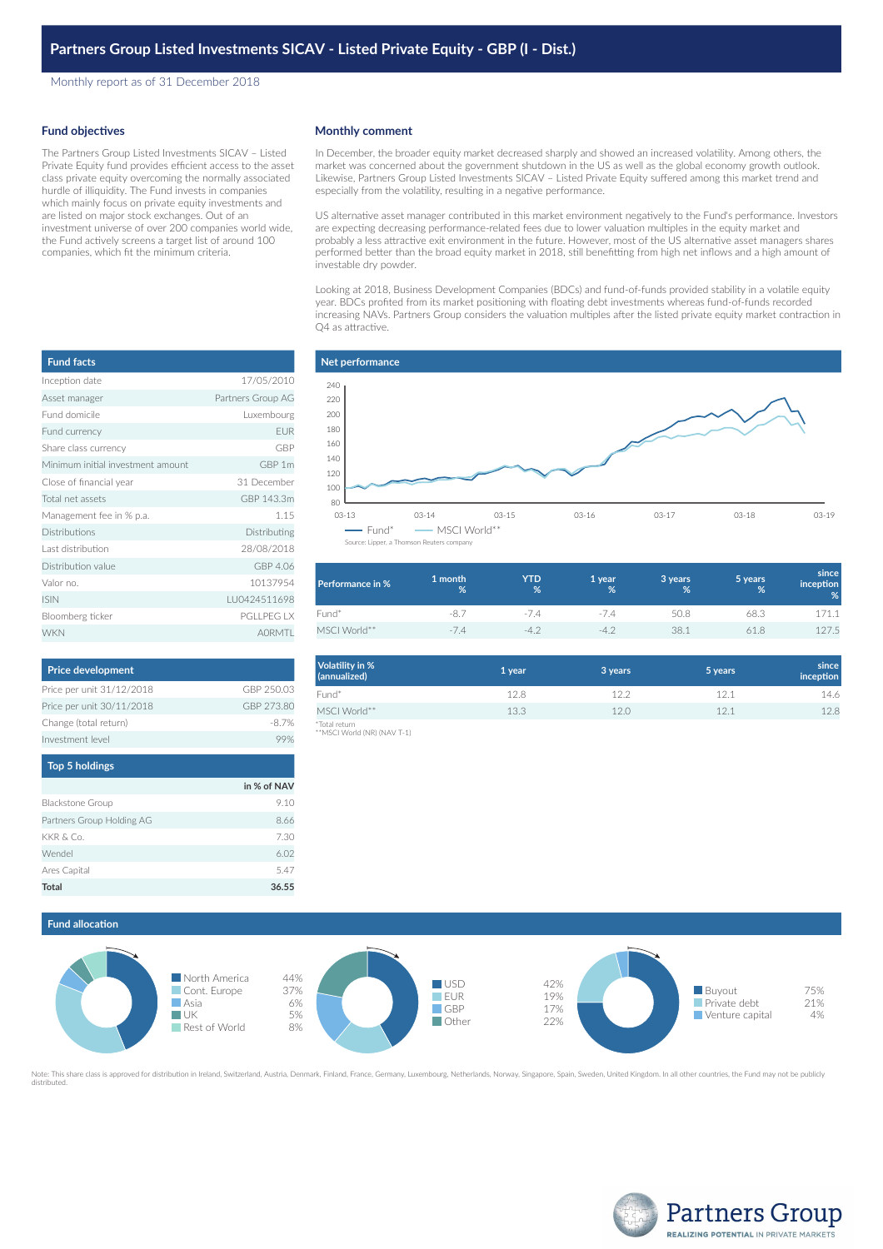Monthly report as of 31 December 2018

### **Fund objectives**

The Partners Group Listed Investments SICAV – Listed Private Equity fund provides efficient access to the asset class private equity overcoming the normally associated hurdle of illiquidity. The Fund invests in companies which mainly focus on private equity investments and are listed on major stock exchanges. Out of an investment universe of over 200 companies world wide, the Fund actively screens a target list of around 100 companies, which fit the minimum criteria.

| <b>Fund facts</b>                 |                   |
|-----------------------------------|-------------------|
| Inception date                    | 17/05/2010        |
| Asset manager                     | Partners Group AG |
| Fund domicile                     | Luxembourg        |
| Fund currency                     | <b>EUR</b>        |
| Share class currency              | GBP               |
| Minimum initial investment amount | GBP 1m            |
| Close of financial year           | 31 December       |
| Total net assets                  | GBP 143.3m        |
| Management fee in % p.a.          | 1.15              |
| <b>Distributions</b>              | Distributing      |
| Last distribution                 | 28/08/2018        |
| Distribution value                | GBP 4.06          |
| Valor no.                         | 10137954          |
| <b>ISIN</b>                       | LU0424511698      |
| Bloomberg ticker                  | PGI LPEG LX       |
| <b>WKN</b>                        | AORMTL            |

| <b>Price development</b>  |            |
|---------------------------|------------|
| Price per unit 31/12/2018 | GBP 250.03 |
| Price per unit 30/11/2018 | GBP 273.80 |
| Change (total return)     | -8.7%      |
| Investment level          |            |

| <b>Top 5 holdings</b>     |             |  |
|---------------------------|-------------|--|
|                           | in % of NAV |  |
| <b>Blackstone Group</b>   | 9.10        |  |
| Partners Group Holding AG | 8.66        |  |
| KKR & Co.                 | 7.30        |  |
| Wendel                    | 6.02        |  |
| Ares Capital              | 5.47        |  |
| <b>Total</b>              | 36.55       |  |

### **Monthly comment**

In December, the broader equity market decreased sharply and showed an increased volatility. Among others, the market was concerned about the government shutdown in the US as well as the global economy growth outlook. Likewise, Partners Group Listed Investments SICAV – Listed Private Equity suffered among this market trend and especially from the volatility, resulting in a negative performance.

US alternative asset manager contributed in this market environment negatively to the Fund's performance. Investors are expecting decreasing performance-related fees due to lower valuation multiples in the equity market and probably a less attractive exit environment in the future. However, most of the US alternative asset managers shares performed better than the broad equity market in 2018, still benefitting from high net inflows and a high amount of investable dry powder.

Looking at 2018, Business Development Companies (BDCs) and fund-of-funds provided stability in a volatile equity year. BDCs profited from its market positioning with floating debt investments whereas fund-of-funds recorded increasing NAVs. Partners Group considers the valuation multiples after the listed private equity market contraction in Q4 as attractive.



| Performance in % | 1 month<br>% | YTD<br>% | 1 year<br>℅ | 3 years<br>% | 5 years<br>% | since<br>inception<br>% |
|------------------|--------------|----------|-------------|--------------|--------------|-------------------------|
| Fund*            | -8.7         | $-74$    | $-14$       | 50.8         | 68.3         | 171.1                   |
| MSCI World**     | -74          | $-4$     | -4.2        | 38.1         | 618          | 127.5                   |

| <b>Volatility in %</b><br>(annualized) | 1 year | 3 years | 5 years | since<br>inception |
|----------------------------------------|--------|---------|---------|--------------------|
| Fund*                                  | 12.8   | 12.2    | 12.1    | 14.6               |
| MSCI World**                           | 13.3   | 12.0    | 12.1    | 12.8               |
| *Total return                          |        |         |         |                    |

\*Total return \*\*MSCI World (NR) (NAV T-1)





te: This share class is approved for distribution in Ireland, Switzerland, Austria, Denmark, Finland, France, Germany, Luxembourg, Netherlands, Norway, Singapore, Spain, Sweden, United Kingdom. In all other countries, the distributed